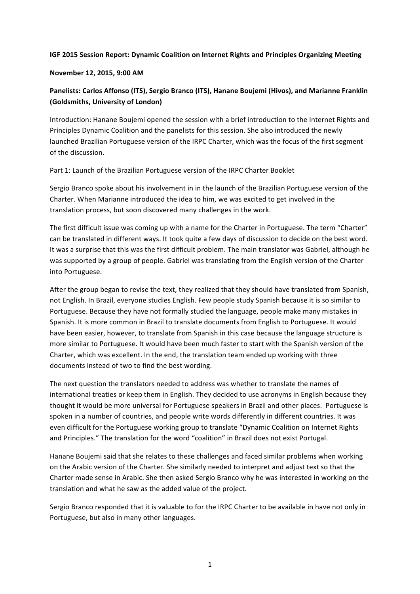### **IGF 2015 Session Report: Dynamic Coalition on Internet Rights and Principles Organizing Meeting**

#### **November 12, 2015, 9:00 AM**

# Panelists: Carlos Affonso (ITS), Sergio Branco (ITS), Hanane Boujemi (Hivos), and Marianne Franklin **(Goldsmiths, University of London)**

Introduction: Hanane Boujemi opened the session with a brief introduction to the Internet Rights and Principles Dynamic Coalition and the panelists for this session. She also introduced the newly launched Brazilian Portuguese version of the IRPC Charter, which was the focus of the first segment of the discussion.

### Part 1: Launch of the Brazilian Portuguese version of the IRPC Charter Booklet

Sergio Branco spoke about his involvement in in the launch of the Brazilian Portuguese version of the Charter. When Marianne introduced the idea to him, we was excited to get involved in the translation process, but soon discovered many challenges in the work.

The first difficult issue was coming up with a name for the Charter in Portuguese. The term "Charter" can be translated in different ways. It took quite a few days of discussion to decide on the best word. It was a surprise that this was the first difficult problem. The main translator was Gabriel, although he was supported by a group of people. Gabriel was translating from the English version of the Charter into Portuguese.

After the group began to revise the text, they realized that they should have translated from Spanish, not English. In Brazil, everyone studies English. Few people study Spanish because it is so similar to Portuguese. Because they have not formally studied the language, people make many mistakes in Spanish. It is more common in Brazil to translate documents from English to Portuguese. It would have been easier, however, to translate from Spanish in this case because the language structure is more similar to Portuguese. It would have been much faster to start with the Spanish version of the Charter, which was excellent. In the end, the translation team ended up working with three documents instead of two to find the best wording.

The next question the translators needed to address was whether to translate the names of international treaties or keep them in English. They decided to use acronyms in English because they thought it would be more universal for Portuguese speakers in Brazil and other places. Portuguese is spoken in a number of countries, and people write words differently in different countries. It was even difficult for the Portuguese working group to translate "Dynamic Coalition on Internet Rights and Principles." The translation for the word "coalition" in Brazil does not exist Portugal.

Hanane Boujemi said that she relates to these challenges and faced similar problems when working on the Arabic version of the Charter. She similarly needed to interpret and adjust text so that the Charter made sense in Arabic. She then asked Sergio Branco why he was interested in working on the translation and what he saw as the added value of the project.

Sergio Branco responded that it is valuable to for the IRPC Charter to be available in have not only in Portuguese, but also in many other languages.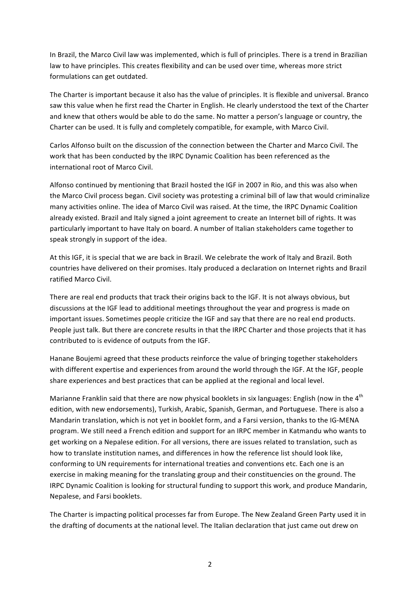In Brazil, the Marco Civil law was implemented, which is full of principles. There is a trend in Brazilian law to have principles. This creates flexibility and can be used over time, whereas more strict formulations can get outdated.

The Charter is important because it also has the value of principles. It is flexible and universal. Branco saw this value when he first read the Charter in English. He clearly understood the text of the Charter and knew that others would be able to do the same. No matter a person's language or country, the Charter can be used. It is fully and completely compatible, for example, with Marco Civil.

Carlos Alfonso built on the discussion of the connection between the Charter and Marco Civil. The work that has been conducted by the IRPC Dynamic Coalition has been referenced as the international root of Marco Civil.

Alfonso continued by mentioning that Brazil hosted the IGF in 2007 in Rio, and this was also when the Marco Civil process began. Civil society was protesting a criminal bill of law that would criminalize many activities online. The idea of Marco Civil was raised. At the time, the IRPC Dynamic Coalition already existed. Brazil and Italy signed a joint agreement to create an Internet bill of rights. It was particularly important to have Italy on board. A number of Italian stakeholders came together to speak strongly in support of the idea.

At this IGF, it is special that we are back in Brazil. We celebrate the work of Italy and Brazil. Both countries have delivered on their promises. Italy produced a declaration on Internet rights and Brazil ratified Marco Civil.

There are real end products that track their origins back to the IGF. It is not always obvious, but discussions at the IGF lead to additional meetings throughout the year and progress is made on important issues. Sometimes people criticize the IGF and say that there are no real end products. People just talk. But there are concrete results in that the IRPC Charter and those projects that it has contributed to is evidence of outputs from the IGF.

Hanane Boujemi agreed that these products reinforce the value of bringing together stakeholders with different expertise and experiences from around the world through the IGF. At the IGF, people share experiences and best practices that can be applied at the regional and local level.

Marianne Franklin said that there are now physical booklets in six languages: English (now in the  $4<sup>th</sup>$ edition, with new endorsements), Turkish, Arabic, Spanish, German, and Portuguese. There is also a Mandarin translation, which is not yet in booklet form, and a Farsi version, thanks to the IG-MENA program. We still need a French edition and support for an IRPC member in Katmandu who wants to get working on a Nepalese edition. For all versions, there are issues related to translation, such as how to translate institution names, and differences in how the reference list should look like, conforming to UN requirements for international treaties and conventions etc. Each one is an exercise in making meaning for the translating group and their constituencies on the ground. The IRPC Dynamic Coalition is looking for structural funding to support this work, and produce Mandarin, Nepalese, and Farsi booklets.

The Charter is impacting political processes far from Europe. The New Zealand Green Party used it in the drafting of documents at the national level. The Italian declaration that just came out drew on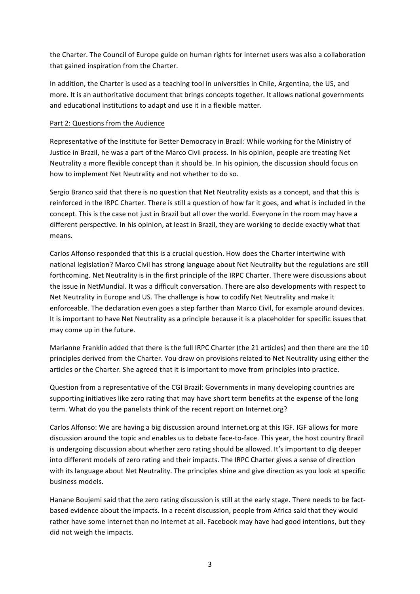the Charter. The Council of Europe guide on human rights for internet users was also a collaboration that gained inspiration from the Charter.

In addition, the Charter is used as a teaching tool in universities in Chile, Argentina, the US, and more. It is an authoritative document that brings concepts together. It allows national governments and educational institutions to adapt and use it in a flexible matter.

### Part 2: Questions from the Audience

Representative of the Institute for Better Democracy in Brazil: While working for the Ministry of Justice in Brazil, he was a part of the Marco Civil process. In his opinion, people are treating Net Neutrality a more flexible concept than it should be. In his opinion, the discussion should focus on how to implement Net Neutrality and not whether to do so.

Sergio Branco said that there is no question that Net Neutrality exists as a concept, and that this is reinforced in the IRPC Charter. There is still a question of how far it goes, and what is included in the concept. This is the case not just in Brazil but all over the world. Everyone in the room may have a different perspective. In his opinion, at least in Brazil, they are working to decide exactly what that means.

Carlos Alfonso responded that this is a crucial question. How does the Charter intertwine with national legislation? Marco Civil has strong language about Net Neutrality but the regulations are still forthcoming. Net Neutrality is in the first principle of the IRPC Charter. There were discussions about the issue in NetMundial. It was a difficult conversation. There are also developments with respect to Net Neutrality in Europe and US. The challenge is how to codify Net Neutrality and make it enforceable. The declaration even goes a step farther than Marco Civil, for example around devices. It is important to have Net Neutrality as a principle because it is a placeholder for specific issues that may come up in the future.

Marianne Franklin added that there is the full IRPC Charter (the 21 articles) and then there are the 10 principles derived from the Charter. You draw on provisions related to Net Neutrality using either the articles or the Charter. She agreed that it is important to move from principles into practice.

Question from a representative of the CGI Brazil: Governments in many developing countries are supporting initiatives like zero rating that may have short term benefits at the expense of the long term. What do you the panelists think of the recent report on Internet.org?

Carlos Alfonso: We are having a big discussion around Internet.org at this IGF. IGF allows for more discussion around the topic and enables us to debate face-to-face. This year, the host country Brazil is undergoing discussion about whether zero rating should be allowed. It's important to dig deeper into different models of zero rating and their impacts. The IRPC Charter gives a sense of direction with its language about Net Neutrality. The principles shine and give direction as you look at specific business models.

Hanane Boujemi said that the zero rating discussion is still at the early stage. There needs to be factbased evidence about the impacts. In a recent discussion, people from Africa said that they would rather have some Internet than no Internet at all. Facebook may have had good intentions, but they did not weigh the impacts.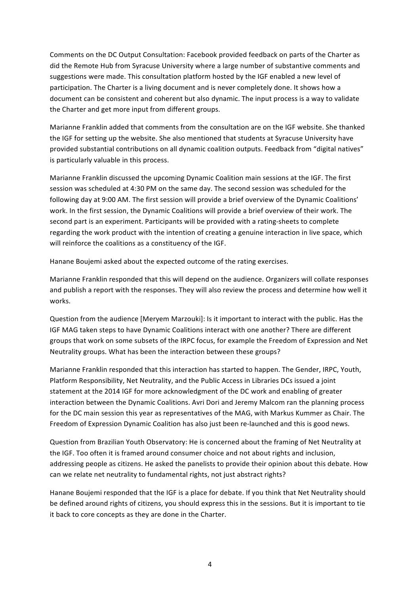Comments on the DC Output Consultation: Facebook provided feedback on parts of the Charter as did the Remote Hub from Syracuse University where a large number of substantive comments and suggestions were made. This consultation platform hosted by the IGF enabled a new level of participation. The Charter is a living document and is never completely done. It shows how a document can be consistent and coherent but also dynamic. The input process is a way to validate the Charter and get more input from different groups.

Marianne Franklin added that comments from the consultation are on the IGF website. She thanked the IGF for setting up the website. She also mentioned that students at Syracuse University have provided substantial contributions on all dynamic coalition outputs. Feedback from "digital natives" is particularly valuable in this process.

Marianne Franklin discussed the upcoming Dynamic Coalition main sessions at the IGF. The first session was scheduled at 4:30 PM on the same day. The second session was scheduled for the following day at 9:00 AM. The first session will provide a brief overview of the Dynamic Coalitions' work. In the first session, the Dynamic Coalitions will provide a brief overview of their work. The second part is an experiment. Participants will be provided with a rating-sheets to complete regarding the work product with the intention of creating a genuine interaction in live space, which will reinforce the coalitions as a constituency of the IGF.

Hanane Boujemi asked about the expected outcome of the rating exercises.

Marianne Franklin responded that this will depend on the audience. Organizers will collate responses and publish a report with the responses. They will also review the process and determine how well it works.

Question from the audience [Meryem Marzouki]: Is it important to interact with the public. Has the IGF MAG taken steps to have Dynamic Coalitions interact with one another? There are different groups that work on some subsets of the IRPC focus, for example the Freedom of Expression and Net Neutrality groups. What has been the interaction between these groups?

Marianne Franklin responded that this interaction has started to happen. The Gender, IRPC, Youth, Platform Responsibility, Net Neutrality, and the Public Access in Libraries DCs issued a joint statement at the 2014 IGF for more acknowledgment of the DC work and enabling of greater interaction between the Dynamic Coalitions. Avri Dori and Jeremy Malcom ran the planning process for the DC main session this year as representatives of the MAG, with Markus Kummer as Chair. The Freedom of Expression Dynamic Coalition has also just been re-launched and this is good news.

Question from Brazilian Youth Observatory: He is concerned about the framing of Net Neutrality at the IGF. Too often it is framed around consumer choice and not about rights and inclusion, addressing people as citizens. He asked the panelists to provide their opinion about this debate. How can we relate net neutrality to fundamental rights, not just abstract rights?

Hanane Boujemi responded that the IGF is a place for debate. If you think that Net Neutrality should be defined around rights of citizens, you should express this in the sessions. But it is important to tie it back to core concepts as they are done in the Charter.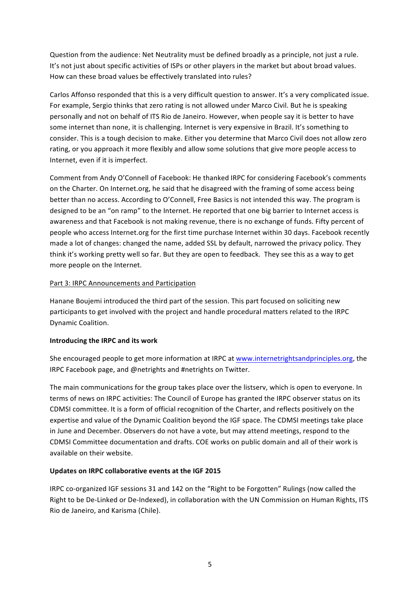Question from the audience: Net Neutrality must be defined broadly as a principle, not just a rule. It's not just about specific activities of ISPs or other players in the market but about broad values. How can these broad values be effectively translated into rules?

Carlos Affonso responded that this is a very difficult question to answer. It's a very complicated issue. For example, Sergio thinks that zero rating is not allowed under Marco Civil. But he is speaking personally and not on behalf of ITS Rio de Janeiro. However, when people say it is better to have some internet than none, it is challenging. Internet is very expensive in Brazil. It's something to consider. This is a tough decision to make. Either you determine that Marco Civil does not allow zero rating, or you approach it more flexibly and allow some solutions that give more people access to Internet, even if it is imperfect.

Comment from Andy O'Connell of Facebook: He thanked IRPC for considering Facebook's comments on the Charter. On Internet.org, he said that he disagreed with the framing of some access being better than no access. According to O'Connell, Free Basics is not intended this way. The program is designed to be an "on ramp" to the Internet. He reported that one big barrier to Internet access is awareness and that Facebook is not making revenue, there is no exchange of funds. Fifty percent of people who access Internet.org for the first time purchase Internet within 30 days. Facebook recently made a lot of changes: changed the name, added SSL by default, narrowed the privacy policy. They think it's working pretty well so far. But they are open to feedback. They see this as a way to get more people on the Internet.

# Part 3: IRPC Announcements and Participation

Hanane Boujemi introduced the third part of the session. This part focused on soliciting new participants to get involved with the project and handle procedural matters related to the IRPC Dynamic Coalition. 

# **Introducing the IRPC and its work**

She encouraged people to get more information at IRPC at www.internetrightsandprinciples.org, the IRPC Facebook page, and @netrights and #netrights on Twitter.

The main communications for the group takes place over the listserv, which is open to everyone. In terms of news on IRPC activities: The Council of Europe has granted the IRPC observer status on its CDMSI committee. It is a form of official recognition of the Charter, and reflects positively on the expertise and value of the Dynamic Coalition beyond the IGF space. The CDMSI meetings take place in June and December. Observers do not have a vote, but may attend meetings, respond to the CDMSI Committee documentation and drafts. COE works on public domain and all of their work is available on their website.

# Updates on IRPC collaborative events at the IGF 2015

IRPC co-organized IGF sessions 31 and 142 on the "Right to be Forgotten" Rulings (now called the Right to be De-Linked or De-Indexed), in collaboration with the UN Commission on Human Rights, ITS Rio de Janeiro, and Karisma (Chile).